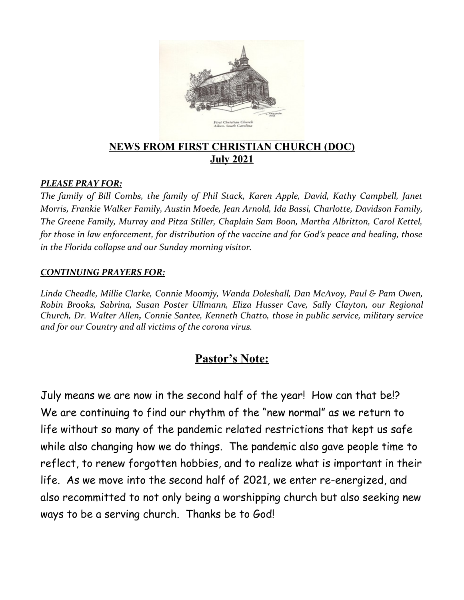

## **NEWS FROM FIRST CHRISTIAN CHURCH (DOC) July 2021**

#### *PLEASE PRAY FOR:*

*The family of Bill Combs, the family of Phil Stack, Karen Apple, David, Kathy Campbell, Janet Morris, Frankie Walker Family, Austin Moede, Jean Arnold, Ida Bassi, Charlotte, Davidson Family, The Greene Family, Murray and Pitza Stiller, Chaplain Sam Boon, Martha Albritton, Carol Kettel, for those in law enforcement, for distribution of the vaccine and for God's peace and healing, those in the Florida collapse and our Sunday morning visitor.*

#### *CONTINUING PRAYERS FOR:*

*Linda Cheadle, Millie Clarke, Connie Moomjy, Wanda Doleshall, Dan McAvoy, Paul & Pam Owen, Robin Brooks, Sabrina, Susan Poster Ullmann, Eliza Husser Cave, Sally Clayton, our Regional Church, Dr. Walter Allen, Connie Santee, Kenneth Chatto, those in public service, military service and for our Country and all victims of the corona virus.* 

# **Pastor's Note:**

July means we are now in the second half of the year! How can that be!? We are continuing to find our rhythm of the "new normal" as we return to life without so many of the pandemic related restrictions that kept us safe while also changing how we do things. The pandemic also gave people time to reflect, to renew forgotten hobbies, and to realize what is important in their life. As we move into the second half of 2021, we enter re-energized, and also recommitted to not only being a worshipping church but also seeking new ways to be a serving church. Thanks be to God!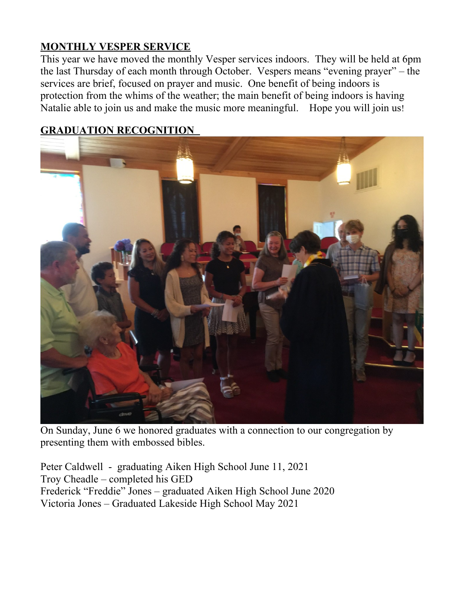# **MONTHLY VESPER SERVICE**

This year we have moved the monthly Vesper services indoors. They will be held at 6pm the last Thursday of each month through October. Vespers means "evening prayer" – the services are brief, focused on prayer and music. One benefit of being indoors is protection from the whims of the weather; the main benefit of being indoors is having Natalie able to join us and make the music more meaningful. Hope you will join us!

# **GRADUATION RECOGNITION**



On Sunday, June 6 we honored graduates with a connection to our congregation by presenting them with embossed bibles.

Peter Caldwell - graduating Aiken High School June 11, 2021 Troy Cheadle – completed his GED Frederick "Freddie" Jones – graduated Aiken High School June 2020 Victoria Jones – Graduated Lakeside High School May 2021